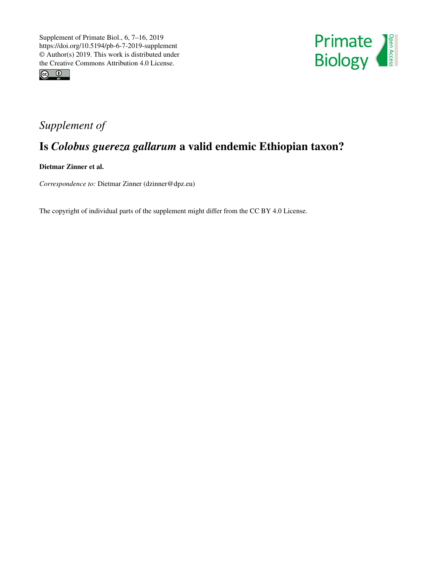



## *Supplement of*

## Is *Colobus guereza gallarum* a valid endemic Ethiopian taxon?

Dietmar Zinner et al.

*Correspondence to:* Dietmar Zinner (dzinner@dpz.eu)

The copyright of individual parts of the supplement might differ from the CC BY 4.0 License.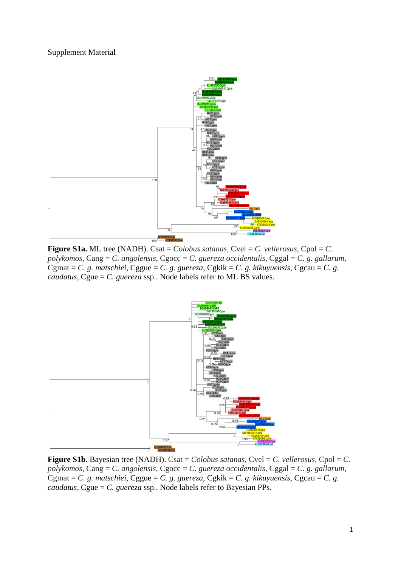## Supplement Material



**Figure S1a.** ML tree (NADH). Csat = *Colobus satanas*, Cvel = *C. vellerosus*, Cpol = *C. polykomos*, Cang = *C. angolensis*, Cgocc = *C. guereza occidentalis*, Cggal = *C. g. gallarum*, Cgmat = *C. g. matschiei*, Cggue = *C. g. guereza*, Cgkik = *C. g. kikuyuensis*, Cgcau = *C. g. caudatus*, Cgue = *C. guereza* ssp.. Node labels refer to ML BS values.



**Figure S1b.** Bayesian tree (NADH). Csat = *Colobus satanas*, Cvel = *C. vellerosus*, Cpol = *C. polykomos*, Cang = *C. angolensis*, Cgocc = *C. guereza occidentalis*, Cggal = *C. g. gallarum*, Cgmat = *C. g. matschiei*, Cggue = *C. g. guereza*, Cgkik = *C. g. kikuyuensis*, Cgcau = *C. g. caudatus*, Cgue = *C. guereza* ssp.. Node labels refer to Bayesian PPs.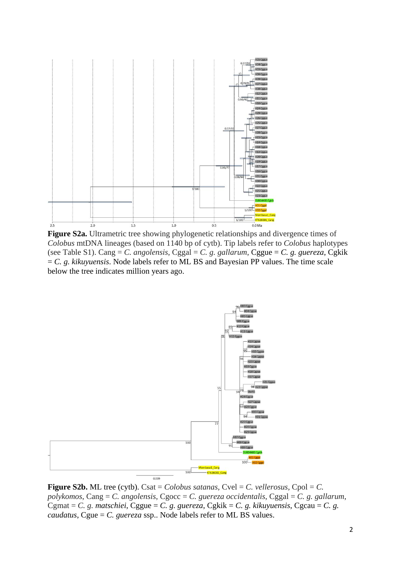

**Figure S2a.** Ultrametric tree showing phylogenetic relationships and divergence times of *Colobus* mtDNA lineages (based on 1140 bp of cytb). Tip labels refer to *Colobus* haplotypes (see Table S1). Cang = *C. angolensis*, Cggal = *C. g. gallarum*, Cggue = *C. g. guereza*, Cgkik = *C. g. kikuyuensis*. Node labels refer to ML BS and Bayesian PP values. The time scale below the tree indicates million years ago.



**Figure S2b.** ML tree (cytb). Csat = *Colobus satanas*, Cvel = *C. vellerosus*, Cpol = *C. polykomos*, Cang = *C. angolensis*, Cgocc = *C. guereza occidentalis*, Cggal = *C. g. gallarum*, Cgmat = *C. g. matschiei*, Cggue = *C. g. guereza*, Cgkik = *C. g. kikuyuensis*, Cgcau = *C. g. caudatus*, Cgue = *C. guereza* ssp.. Node labels refer to ML BS values.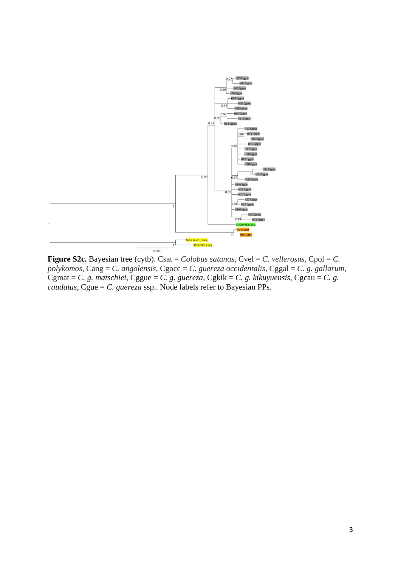

**Figure S2c.** Bayesian tree (cytb). Csat = *Colobus satanas*, Cvel = *C. vellerosus*, Cpol = *C. polykomos*, Cang = *C. angolensis*, Cgocc = *C. guereza occidentalis*, Cggal = *C. g. gallarum*, Cgmat = *C. g. matschiei*, Cggue = *C. g. guereza*, Cgkik = *C. g. kikuyuensis*, Cgcau = *C. g. caudatus*, Cgue = *C. guereza* ssp.. Node labels refer to Bayesian PPs.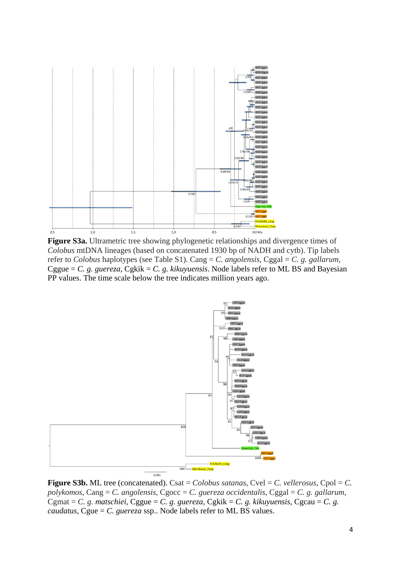

**Figure S3a.** Ultrametric tree showing phylogenetic relationships and divergence times of *Colobus* mtDNA lineages (based on concatenated 1930 bp of NADH and cytb). Tip labels refer to *Colobus* haplotypes (see Table S1). Cang = *C. angolensis*, Cggal = *C. g. gallarum*, Cggue =  $C$ . g. guereza, Cgkik =  $C$ . g. kikuyuensis. Node labels refer to ML BS and Bayesian PP values. The time scale below the tree indicates million years ago.



**Figure S3b.** ML tree (concatenated). Csat = *Colobus satanas*, Cvel = *C. vellerosus*, Cpol = *C. polykomos*, Cang = *C. angolensis*, Cgocc = *C. guereza occidentalis*, Cggal = *C. g. gallarum*, Cgmat = *C. g. matschiei*, Cggue = *C. g. guereza*, Cgkik = *C. g. kikuyuensis*, Cgcau = *C. g. caudatus*, Cgue = *C. guereza* ssp.. Node labels refer to ML BS values.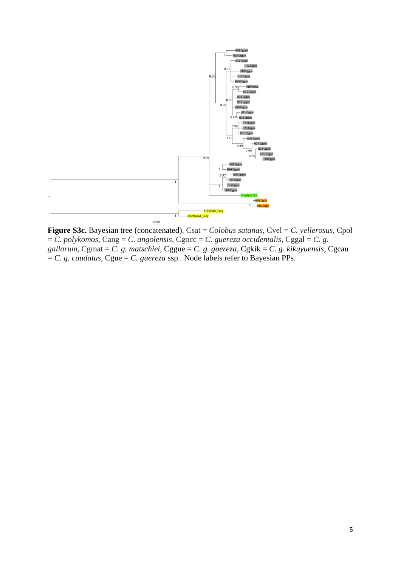

**Figure S3c.** Bayesian tree (concatenated). Csat = *Colobus satanas*, Cvel = *C. vellerosus*, Cpol = *C. polykomos*, Cang = *C. angolensis*, Cgocc = *C. guereza occidentalis*, Cggal = *C. g. gallarum*, Cgmat = *C. g. matschiei*, Cggue = *C. g. guereza*, Cgkik = *C. g. kikuyuensis*, Cgcau  $= C$ . g. *caudatus*, Cgue  $= C$ . *guereza* ssp.. Node labels refer to Bayesian PPs.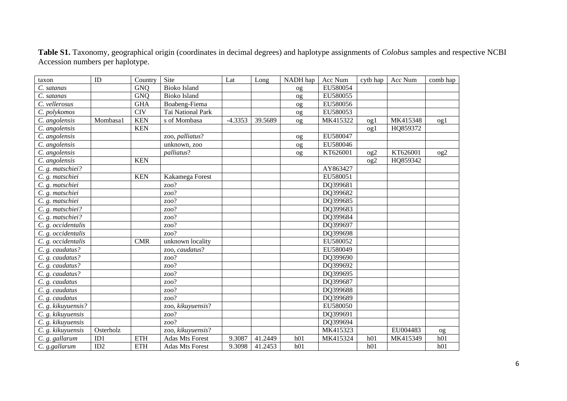| taxon              | ID        | Country    | Site                   | Lat       | Long    | NADH hap        | Acc Num  | cytb hap        | Acc Num  | comb hap        |
|--------------------|-----------|------------|------------------------|-----------|---------|-----------------|----------|-----------------|----------|-----------------|
| C. satanas         |           | <b>GNQ</b> | <b>Bioko Island</b>    |           |         | og              | EU580054 |                 |          |                 |
| C. satanas         |           | <b>GNO</b> | <b>Bioko Island</b>    |           |         | og              | EU580055 |                 |          |                 |
| C. vellerosus      |           | <b>GHA</b> | Boabeng-Fiema          |           |         | og              | EU580056 |                 |          |                 |
| C. polykomos       |           | <b>CIV</b> | Tai National Park      |           |         | og              | EU580053 |                 |          |                 |
| C. angolensis      | Mombasa1  | <b>KEN</b> | s of Mombasa           | $-4.3353$ | 39.5689 | og              | MK415322 | og1             | MK415348 | $^{o}$ g $1$    |
| C. angolensis      |           | <b>KEN</b> |                        |           |         |                 |          | $^{o}$ g $1$    | HQ859372 |                 |
| C. angolensis      |           |            | zoo, palliatus?        |           |         | og              | EU580047 |                 |          |                 |
| C. angolensis      |           |            | unknown, zoo           |           |         | og              | EU580046 |                 |          |                 |
| C. angolensis      |           |            | palliatus?             |           |         | og              | KT626001 | $_{\rm og2}$    | KT626001 | $^{0}$          |
| C. angolensis      |           | <b>KEN</b> |                        |           |         |                 |          | $_{\text{og2}}$ | HQ859342 |                 |
| $C. g.$ matschiei? |           |            |                        |           |         |                 | AY863427 |                 |          |                 |
| C. g. matschiei    |           | <b>KEN</b> | Kakamega Forest        |           |         |                 | EU580051 |                 |          |                 |
| C. g. matschiei    |           |            | zoo?                   |           |         |                 | DQ399681 |                 |          |                 |
| C. g. matschiei    |           |            | zoo?                   |           |         |                 | DQ399682 |                 |          |                 |
| C. g. matschiei    |           |            | zoo?                   |           |         |                 | DQ399685 |                 |          |                 |
| C. g. matschiei?   |           |            | zoo?                   |           |         |                 | DQ399683 |                 |          |                 |
| C. g. matschiei?   |           |            | zoo?                   |           |         |                 | DQ399684 |                 |          |                 |
| C. g. occidentalis |           |            | zoo?                   |           |         |                 | DQ399697 |                 |          |                 |
| C. g. occidentalis |           |            | zoo?                   |           |         |                 | DQ399698 |                 |          |                 |
| C. g. occidentalis |           | <b>CMR</b> | unknown locality       |           |         |                 | EU580052 |                 |          |                 |
| C. g. caudatus?    |           |            | zoo, caudatus?         |           |         |                 | EU580049 |                 |          |                 |
| C. g. caudatus?    |           |            | zoo?                   |           |         |                 | DQ399690 |                 |          |                 |
| C. g. caudatus?    |           |            | zoo?                   |           |         |                 | DQ399692 |                 |          |                 |
| C. g. caudatus?    |           |            | zoo?                   |           |         |                 | DQ399695 |                 |          |                 |
| C. g. caudatus     |           |            | zoo?                   |           |         |                 | DQ399687 |                 |          |                 |
| C. g. caudatus     |           |            | zoo?                   |           |         |                 | DQ399688 |                 |          |                 |
| C. g. caudatus     |           |            | zoo?                   |           |         |                 | DQ399689 |                 |          |                 |
| C. g. kikuyuensis? |           |            | zoo, kikuyuensis?      |           |         |                 | EU580050 |                 |          |                 |
| C. g. kikuyuensis  |           |            | zoo?                   |           |         |                 | DQ399691 |                 |          |                 |
| C. g. kikuyuensis  |           |            | zoo?                   |           |         |                 | DQ399694 |                 |          |                 |
| C. g. kikuyuensis  | Osterholz |            | zoo, kikuyuensis?      |           |         |                 | MK415323 |                 | EU004483 | OQ              |
| C. g. gallarum     | ID1       | <b>ETH</b> | <b>Adas Mts Forest</b> | 9.3087    | 41.2449 | h <sub>01</sub> | MK415324 | h <sub>01</sub> | MK415349 | h <sub>01</sub> |
| C. g.gallarum      | ID2       | <b>ETH</b> | <b>Adas Mts Forest</b> | 9.3098    | 41.2453 | h01             |          | h01             |          | h01             |

**Table S1.** Taxonomy, geographical origin (coordinates in decimal degrees) and haplotype assignments of *Colobus* samples and respective NCBI Accession numbers per haplotype.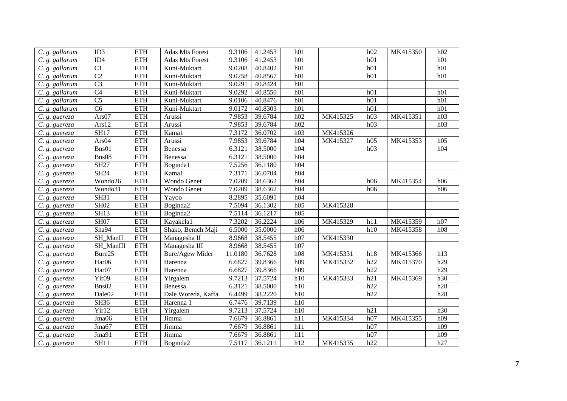| C. g. gallarum | ID3                    | <b>ETH</b>           | <b>Adas Mts Forest</b> | 9.3106  | 41.2453 | h01 |          | h02 | MK415350 | h02 |
|----------------|------------------------|----------------------|------------------------|---------|---------|-----|----------|-----|----------|-----|
| C. g. gallarum | ID <sub>4</sub>        | <b>ETH</b>           | <b>Adas Mts Forest</b> | 9.3106  | 41.2453 | h01 |          | h01 |          | h01 |
| C. g. gallarum | C1                     | <b>ETH</b>           | Kuni-Muktart           | 9.0208  | 40.8402 | h01 |          | h01 |          | h01 |
| C. g. gallarum | $\overline{C2}$        | <b>ETH</b>           | Kuni-Muktart           | 9.0258  | 40.8567 | h01 |          | h01 |          | h01 |
| C. g. gallarum | $\overline{C}3$        | <b>ETH</b>           | Kuni-Muktart           | 9.0291  | 40.8424 | h01 |          |     |          |     |
| C. g. gallarum | $\overline{C4}$        | <b>ETH</b>           | Kuni-Muktart           | 9.0292  | 40.8550 | h01 |          | h01 |          | h01 |
| C. g. gallarum | $\overline{C5}$        | <b>ETH</b>           | Kuni-Muktart           | 9.0106  | 40.8476 | h01 |          | h01 |          | h01 |
| C. g. gallarum | $\overline{\text{C6}}$ | <b>ETH</b>           | Kuni-Muktart           | 9.0172  | 40.8303 | h01 |          | h01 |          | h01 |
| C. g. guereza  | Ars07                  | <b>ETH</b>           | Arussi                 | 7.9853  | 39.6784 | h02 | MK415325 | h03 | MK415351 | h03 |
| C. g. guereza  | Ars12                  | <b>ETH</b>           | Arussi                 | 7.9853  | 39.6784 | h02 |          | h03 |          | h03 |
| C. g. guereza  | <b>SH17</b>            | <b>ETH</b>           | Kama1                  | 7.3172  | 36.0702 | h03 | MK415326 |     |          |     |
| C. g. guereza  | Ars04                  | <b>ETH</b>           | Arussi                 | 7.9853  | 39.6784 | h04 | MK415327 | h05 | MK415353 | h05 |
| C. g. guereza  | Bns01                  | <b>ETH</b>           | Benessa                | 6.3121  | 38.5000 | h04 |          | h03 |          | h04 |
| C. g. guereza  | Bns08                  | <b>ETH</b>           | Benessa                | 6.3121  | 38.5000 | h04 |          |     |          |     |
| C. g. guereza  | <b>SH27</b>            | <b>ETH</b>           | Boginda1               | 7.5256  | 36.1180 | h04 |          |     |          |     |
| C. g. guereza  | <b>SH24</b>            | <b>ETH</b>           | Kama1                  | 7.3171  | 36.0704 | h04 |          |     |          |     |
| C. g. guereza  | Wondo26                | <b>ETH</b>           | Wondo Genet            | 7.0209  | 38.6362 | h04 |          | h06 | MK415354 | h06 |
| C. g. guereza  | Wondo31                | <b>ETH</b>           | Wondo Genet            | 7.0209  | 38.6362 | h04 |          | h06 |          | h06 |
| C. g. guereza  | <b>SH31</b>            | <b>ETH</b>           | Yayoo                  | 8.2895  | 35.6091 | h04 |          |     |          |     |
| C. g. guereza  | <b>SH02</b>            | <b>ETH</b>           | Boginda2               | 7.5094  | 36.1302 | h05 | MK415328 |     |          |     |
| C. g. guereza  | <b>SH13</b>            | <b>ETH</b>           | Boginda2               | 7.5114  | 36.1217 | h05 |          |     |          |     |
| C. g. guereza  | <b>SH07</b>            | <b>ETH</b>           | Kayakela1              | 7.3202  | 36.2224 | h06 | MK415329 | h11 | MK415359 | h07 |
| C. g. guereza  | Sha94                  | <b>ETH</b>           | Shako, Bemch Maji      | 6.5000  | 35.0000 | h06 |          | h10 | MK415358 | h08 |
| C. g. guereza  | SH_ManII               | <b>ETH</b>           | Managesha II           | 8.9668  | 38.5455 | h07 | MK415330 |     |          |     |
| C. g. guereza  | SH_ManIII              | $\operatorname{ETH}$ | Managesha III          | 8.9668  | 38.5455 | h07 |          |     |          |     |
| C. g. guereza  | Bure25                 | <b>ETH</b>           | Bure/Agew Mider        | 11.0180 | 36.7628 | h08 | MK415331 | h18 | MK415366 | h13 |
| C. g. guereza  | Har06                  | <b>ETH</b>           | Harenna                | 6.6827  | 39.8366 | h09 | MK415332 | h22 | MK415370 | h29 |
| C. g. guereza  | Har07                  | <b>ETH</b>           | Harenna                | 6.6827  | 39.8366 | h09 |          | h22 |          | h29 |
| C. g. guereza  | Yir09                  | <b>ETH</b>           | Yirgalem               | 9.7213  | 37.5724 | h10 | MK415333 | h21 | MK415369 | h30 |
| C. g. guereza  | Bns02                  | <b>ETH</b>           | Benessa                | 6.3121  | 38.5000 | h10 |          | h22 |          | h28 |
| C. g. guereza  | Dale02                 | $\operatorname{ETH}$ | Dale Woreda, Kaffa     | 6.4499  | 38.2220 | h10 |          | h22 |          | h28 |
| C. g. guereza  | SH36                   | <b>ETH</b>           | Harenna 1              | 6.7476  | 39.7139 | h10 |          |     |          |     |
| C. g. guereza  | Yir12                  | <b>ETH</b>           | Yirgalem               | 9.7213  | 37.5724 | h10 |          | h21 |          | h30 |
| C. g. guereza  | Jma06                  | <b>ETH</b>           | Jimma                  | 7.6679  | 36.8861 | h11 | MK415334 | h07 | MK415355 | h09 |
| C. g. guereza  | Jma67                  | <b>ETH</b>           | Jimma                  | 7.6679  | 36.8861 | h11 |          | h07 |          | h09 |
| C. g. guereza  | Jma91                  | <b>ETH</b>           | Jimma                  | 7.6679  | 36.8861 | h11 |          | h07 |          | h09 |
| C. g. guereza  | <b>SH11</b>            | <b>ETH</b>           | Boginda2               | 7.5117  | 36.1211 | h12 | MK415335 | h22 |          | h27 |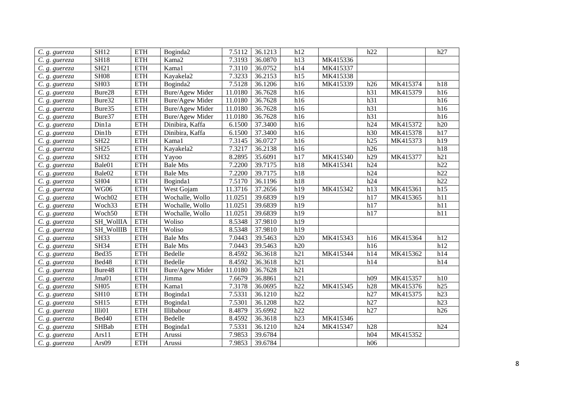| C. g. guereza | <b>SH12</b>        | <b>ETH</b> | Boginda2               | 7.5112  | 36.1213 | h12 |          | h22 |          | h27 |
|---------------|--------------------|------------|------------------------|---------|---------|-----|----------|-----|----------|-----|
| C. g. guereza | <b>SH18</b>        | <b>ETH</b> | Kama2                  | 7.3193  | 36.0870 | h13 | MK415336 |     |          |     |
| C. g. guereza | <b>SH21</b>        | <b>ETH</b> | Kama1                  | 7.3110  | 36.0752 | h14 | MK415337 |     |          |     |
| C. g. guereza | <b>SH08</b>        | <b>ETH</b> | Kayakela2              | 7.3233  | 36.2153 | h15 | MK415338 |     |          |     |
| C. g. guereza | <b>SH03</b>        | <b>ETH</b> | Boginda2               | 7.5128  | 36.1206 | h16 | MK415339 | h26 | MK415374 | h18 |
| C. g. guereza | Bure28             | <b>ETH</b> | Bure/Agew Mider        | 11.0180 | 36.7628 | h16 |          | h31 | MK415379 | h16 |
| C. g. guereza | Bure32             | <b>ETH</b> | Bure/Agew Mider        | 11.0180 | 36.7628 | h16 |          | h31 |          | h16 |
| C. g. guereza | Bure35             | <b>ETH</b> | Bure/Agew Mider        | 11.0180 | 36.7628 | h16 |          | h31 |          | h16 |
| C. g. guereza | Bure37             | <b>ETH</b> | Bure/Agew Mider        | 11.0180 | 36.7628 | h16 |          | h31 |          | h16 |
| C. g. guereza | Dinla              | <b>ETH</b> | Dinibira, Kaffa        | 6.1500  | 37.3400 | h16 |          | h24 | MK415372 | h20 |
| C. g. guereza | Din1b              | <b>ETH</b> | Dinibira, Kaffa        | 6.1500  | 37.3400 | h16 |          | h30 | MK415378 | h17 |
| C. g. guereza | <b>SH22</b>        | <b>ETH</b> | Kama1                  | 7.3145  | 36.0727 | h16 |          | h25 | MK415373 | h19 |
| C. g. guereza | <b>SH25</b>        | <b>ETH</b> | Kayakela2              | 7.3217  | 36.2138 | h16 |          | h26 |          | h18 |
| C. g. guereza | <b>SH32</b>        | <b>ETH</b> | Yayoo                  | 8.2895  | 35.6091 | h17 | MK415340 | h29 | MK415377 | h21 |
| C. g. guereza | Bale01             | <b>ETH</b> | <b>Bale Mts</b>        | 7.2200  | 39.7175 | h18 | MK415341 | h24 |          | h22 |
| C. g. guereza | Bale02             | <b>ETH</b> | <b>Bale Mts</b>        | 7.2200  | 39.7175 | h18 |          | h24 |          | h22 |
| C. g. guereza | <b>SH04</b>        | <b>ETH</b> | Boginda1               | 7.5170  | 36.1196 | h18 |          | h24 |          | h22 |
| C. g. guereza | <b>WG06</b>        | <b>ETH</b> | West Gojam             | 11.3716 | 37.2656 | h19 | MK415342 | h13 | MK415361 | h15 |
| C. g. guereza | Woch <sub>02</sub> | <b>ETH</b> | Wochalle, Wollo        | 11.0251 | 39.6839 | h19 |          | h17 | MK415365 | h11 |
| C. g. guereza | Woch33             | <b>ETH</b> | Wochalle, Wollo        | 11.0251 | 39.6839 | h19 |          | h17 |          | h11 |
| C. g. guereza | Woch50             | <b>ETH</b> | Wochalle, Wollo        | 11.0251 | 39.6839 | h19 |          | h17 |          | h11 |
| C. g. guereza | SH_WolIIA          | <b>ETH</b> | Woliso                 | 8.5348  | 37.9810 | h19 |          |     |          |     |
| C. g. guereza | <b>SH_WollIB</b>   | <b>ETH</b> | Woliso                 | 8.5348  | 37.9810 | h19 |          |     |          |     |
| C. g. guereza | <b>SH33</b>        | <b>ETH</b> | <b>Bale Mts</b>        | 7.0443  | 39.5463 | h20 | MK415343 | h16 | MK415364 | h12 |
| C. g. guereza | <b>SH34</b>        | <b>ETH</b> | <b>Bale Mts</b>        | 7.0443  | 39.5463 | h20 |          | h16 |          | h12 |
| C. g. guereza | Bed35              | <b>ETH</b> | Bedelle                | 8.4592  | 36.3618 | h21 | MK415344 | h14 | MK415362 | h14 |
| C. g. guereza | Bed48              | <b>ETH</b> | Bedelle                | 8.4592  | 36.3618 | h21 |          | h14 |          | h14 |
| C. g. guereza | Bure48             | <b>ETH</b> | <b>Bure/Agew Mider</b> | 11.0180 | 36.7628 | h21 |          |     |          |     |
| C. g. guereza | Jma01              | <b>ETH</b> | Jimma                  | 7.6679  | 36.8861 | h21 |          | h09 | MK415357 | h10 |
| C. g. guereza | <b>SH05</b>        | <b>ETH</b> | Kama1                  | 7.3178  | 36.0695 | h22 | MK415345 | h28 | MK415376 | h25 |
| C. g. guereza | <b>SH10</b>        | <b>ETH</b> | Boginda1               | 7.5331  | 36.1210 | h22 |          | h27 | MK415375 | h23 |
| C. g. guereza | <b>SH15</b>        | <b>ETH</b> | Boginda1               | 7.5301  | 36.1208 | h22 |          | h27 |          | h23 |
| C. g. guereza | I11i01             | <b>ETH</b> | Illibabour             | 8.4879  | 35.6992 | h22 |          | h27 |          | h26 |
| C. g. guereza | Bed40              | <b>ETH</b> | Bedelle                | 8.4592  | 36.3618 | h23 | MK415346 |     |          |     |
| C. g. guereza | SHBab              | <b>ETH</b> | Boginda1               | 7.5331  | 36.1210 | h24 | MK415347 | h28 |          | h24 |
| C. g. guereza | Ars11              | <b>ETH</b> | Arussi                 | 7.9853  | 39.6784 |     |          | h04 | MK415352 |     |
| C. g. guereza | Ars09              | <b>ETH</b> | Arussi                 | 7.9853  | 39.6784 |     |          | h06 |          |     |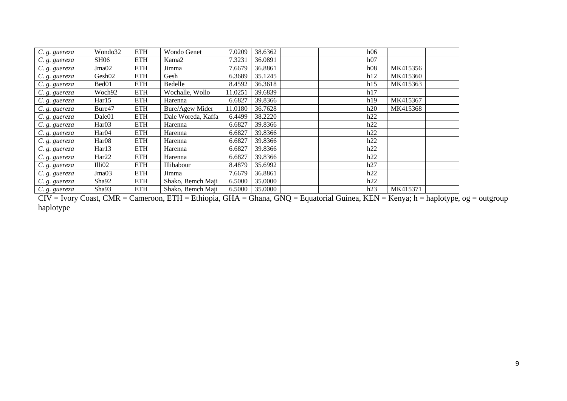| C. g. guereza | Wondo32            | <b>ETH</b> | Wondo Genet        | 7.0209  | 38.6362 |  | h06 |          |  |
|---------------|--------------------|------------|--------------------|---------|---------|--|-----|----------|--|
| C. g. guereza | <b>SH06</b>        | <b>ETH</b> | Kama2              | 7.3231  | 36.0891 |  | h07 |          |  |
| C. g. guereza | Jma <sub>02</sub>  | <b>ETH</b> | Jimma              | 7.6679  | 36.8861 |  | h08 | MK415356 |  |
| C. g. guereza | Gesh02             | <b>ETH</b> | Gesh               | 6.3689  | 35.1245 |  | h12 | MK415360 |  |
| C. g. guereza | Bed01              | <b>ETH</b> | Bedelle            | 8.4592  | 36.3618 |  | h15 | MK415363 |  |
| C. g. guereza | Woch92             | <b>ETH</b> | Wochalle, Wollo    | 11.0251 | 39.6839 |  | h17 |          |  |
| C. g. guereza | Har15              | <b>ETH</b> | Harenna            | 6.6827  | 39.8366 |  | h19 | MK415367 |  |
| C. g. guereza | Bure47             | <b>ETH</b> | Bure/Agew Mider    | 11.0180 | 36.7628 |  | h20 | MK415368 |  |
| C. g. guereza | Dale01             | <b>ETH</b> | Dale Woreda, Kaffa | 6.4499  | 38.2220 |  | h22 |          |  |
| C. g. guereza | Har <sub>03</sub>  | <b>ETH</b> | Harenna            | 6.6827  | 39.8366 |  | h22 |          |  |
| C. g. guereza | Har <sub>04</sub>  | <b>ETH</b> | Harenna            | 6.6827  | 39.8366 |  | h22 |          |  |
| C. g. guereza | Har <sub>08</sub>  | <b>ETH</b> | Harenna            | 6.6827  | 39.8366 |  | h22 |          |  |
| C. g. guereza | Har13              | <b>ETH</b> | Harenna            | 6.6827  | 39.8366 |  | h22 |          |  |
| C. g. guereza | Har <sub>22</sub>  | <b>ETH</b> | Harenna            | 6.6827  | 39.8366 |  | h22 |          |  |
| C. g. guereza | Illi <sub>02</sub> | <b>ETH</b> | Illibabour         | 8.4879  | 35.6992 |  | h27 |          |  |
| C. g. guereza | Jma03              | <b>ETH</b> | Jimma              | 7.6679  | 36.8861 |  | h22 |          |  |
| C. g. guereza | Sha92              | <b>ETH</b> | Shako, Bemch Maji  | 6.5000  | 35.0000 |  | h22 |          |  |
| C. g. guereza | Sha93              | <b>ETH</b> | Shako, Bemch Maji  | 6.5000  | 35.0000 |  | h23 | MK415371 |  |

CIV = Ivory Coast, CMR = Cameroon, ETH = Ethiopia, GHA = Ghana, GNQ = Equatorial Guinea, KEN = Kenya; h = haplotype, og = outgroup haplotype